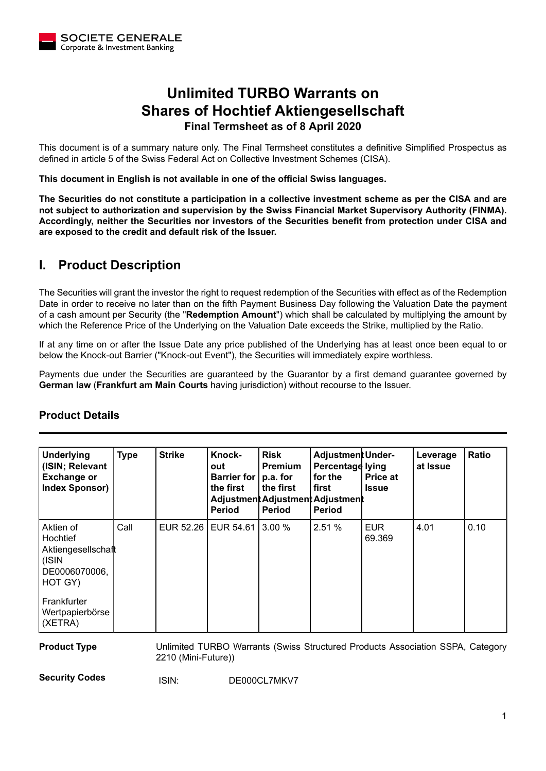

# **Unlimited TURBO Warrants on Shares of Hochtief Aktiengesellschaft Final Termsheet as of 8 April 2020**

This document is of a summary nature only. The Final Termsheet constitutes a definitive Simplified Prospectus as defined in article 5 of the Swiss Federal Act on Collective Investment Schemes (CISA).

**This document in English is not available in one of the official Swiss languages.**

**The Securities do not constitute a participation in a collective investment scheme as per the CISA and are not subject to authorization and supervision by the Swiss Financial Market Supervisory Authority (FINMA). Accordingly, neither the Securities nor investors of the Securities benefit from protection under CISA and are exposed to the credit and default risk of the Issuer.**

## **I. Product Description**

The Securities will grant the investor the right to request redemption of the Securities with effect as of the Redemption Date in order to receive no later than on the fifth Payment Business Day following the Valuation Date the payment of a cash amount per Security (the "**Redemption Amount**") which shall be calculated by multiplying the amount by which the Reference Price of the Underlying on the Valuation Date exceeds the Strike, multiplied by the Ratio.

If at any time on or after the Issue Date any price published of the Underlying has at least once been equal to or below the Knock-out Barrier ("Knock-out Event"), the Securities will immediately expire worthless.

Payments due under the Securities are guaranteed by the Guarantor by a first demand guarantee governed by **German law** (**Frankfurt am Main Courts** having jurisdiction) without recourse to the Issuer.

| <b>Underlying</b><br>(ISIN; Relevant<br><b>Exchange or</b><br><b>Index Sponsor)</b> | <b>Type</b> | <b>Strike</b> | Knock-<br>out<br>Barrier for<br>the first<br><b>Period</b> | <b>Risk</b><br><b>Premium</b><br>p.a. for<br>the first<br><b>Period</b> | <b>Adjustment Under-</b><br>Percentage lying<br>for the<br>first<br>Adjustment Adjustment Adjustment<br><b>Period</b> | <b>Price at</b><br><b>Issue</b> | Leverage<br>at Issue | Ratio |
|-------------------------------------------------------------------------------------|-------------|---------------|------------------------------------------------------------|-------------------------------------------------------------------------|-----------------------------------------------------------------------------------------------------------------------|---------------------------------|----------------------|-------|
| Aktien of<br>Hochtief<br>Aktiengesellschaft<br>(ISIN<br>DE0006070006,<br>HOT GY)    | Call        |               | EUR 52.26   EUR 54.61   3.00 %                             |                                                                         | 2.51 %                                                                                                                | <b>EUR</b><br>69.369            | 4.01                 | 0.10  |
| Frankfurter<br>Wertpapierbörse<br>(XETRA)                                           |             |               |                                                            |                                                                         |                                                                                                                       |                                 |                      |       |

## **Product Details**

**Product Type** Unlimited TURBO Warrants (Swiss Structured Products Association SSPA, Category 2210 (Mini-Future))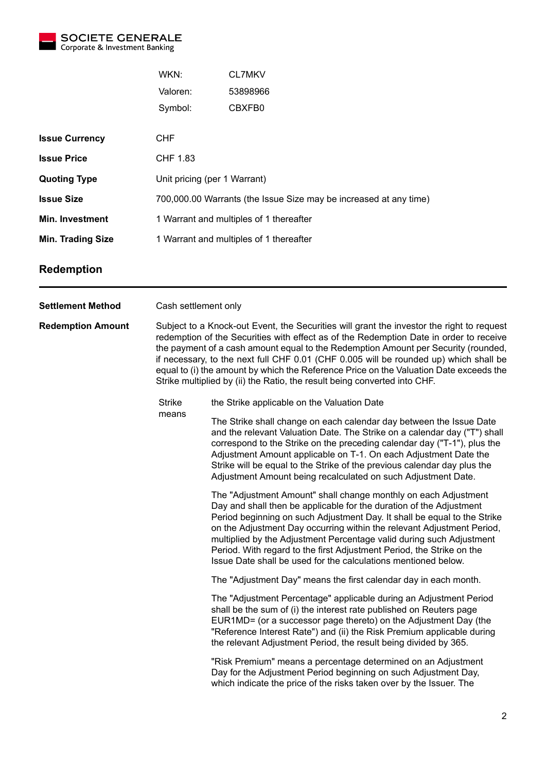

| WKN:                                                              | <b>CL7MKV</b> |  |  |  |
|-------------------------------------------------------------------|---------------|--|--|--|
| Valoren:                                                          | 53898966      |  |  |  |
| Symbol:                                                           | CBXFB0        |  |  |  |
|                                                                   |               |  |  |  |
| <b>CHF</b>                                                        |               |  |  |  |
| CHF 1.83                                                          |               |  |  |  |
| Unit pricing (per 1 Warrant)                                      |               |  |  |  |
| 700,000.00 Warrants (the Issue Size may be increased at any time) |               |  |  |  |
| 1 Warrant and multiples of 1 thereafter                           |               |  |  |  |
| 1 Warrant and multiples of 1 thereafter                           |               |  |  |  |
|                                                                   |               |  |  |  |

#### **Redemption**

**Settlement Method** Cash settlement only **Redemption Amount** Subject to a Knock-out Event, the Securities will grant the investor the right to request redemption of the Securities with effect as of the Redemption Date in order to receive the payment of a cash amount equal to the Redemption Amount per Security (rounded, if necessary, to the next full CHF 0.01 (CHF 0.005 will be rounded up) which shall be equal to (i) the amount by which the Reference Price on the Valuation Date exceeds the Strike multiplied by (ii) the Ratio, the result being converted into CHF. Strike means the Strike applicable on the Valuation Date The Strike shall change on each calendar day between the Issue Date and the relevant Valuation Date. The Strike on a calendar day ("T") shall correspond to the Strike on the preceding calendar day ("T-1"), plus the Adjustment Amount applicable on T-1. On each Adjustment Date the Strike will be equal to the Strike of the previous calendar day plus the Adjustment Amount being recalculated on such Adjustment Date. The "Adjustment Amount" shall change monthly on each Adjustment Day and shall then be applicable for the duration of the Adjustment Period beginning on such Adjustment Day. It shall be equal to the Strike on the Adjustment Day occurring within the relevant Adjustment Period, multiplied by the Adjustment Percentage valid during such Adjustment Period. With regard to the first Adjustment Period, the Strike on the Issue Date shall be used for the calculations mentioned below. The "Adjustment Day" means the first calendar day in each month. The "Adjustment Percentage" applicable during an Adjustment Period shall be the sum of (i) the interest rate published on Reuters page EUR1MD= (or a successor page thereto) on the Adjustment Day (the "Reference Interest Rate") and (ii) the Risk Premium applicable during the relevant Adjustment Period, the result being divided by 365. "Risk Premium" means a percentage determined on an Adjustment Day for the Adjustment Period beginning on such Adjustment Day,

which indicate the price of the risks taken over by the Issuer. The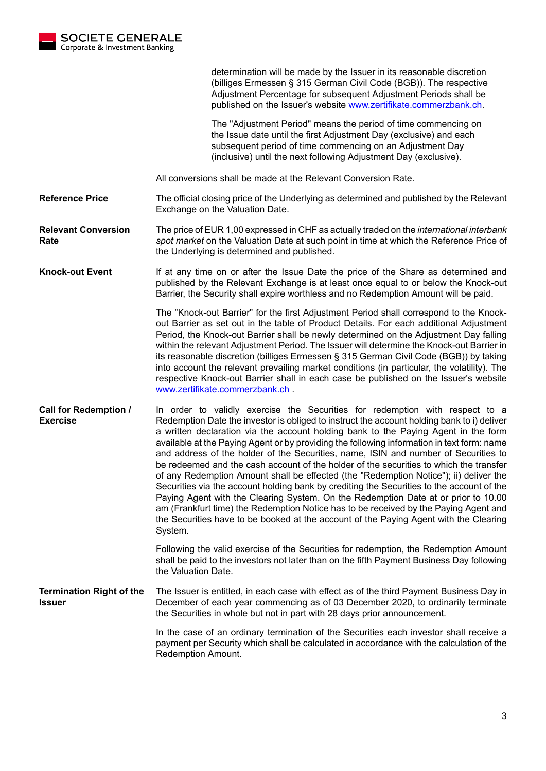

determination will be made by the Issuer in its reasonable discretion (billiges Ermessen § 315 German Civil Code (BGB)). The respective Adjustment Percentage for subsequent Adjustment Periods shall be published on the Issuer's website [www.zertifikate.commerzbank.ch.](http://www.zertifikate.commerzbank.ch)

The "Adjustment Period" means the period of time commencing on the Issue date until the first Adjustment Day (exclusive) and each subsequent period of time commencing on an Adjustment Day (inclusive) until the next following Adjustment Day (exclusive).

All conversions shall be made at the Relevant Conversion Rate.

**Reference Price** The official closing price of the Underlying as determined and published by the Relevant Exchange on the Valuation Date.

**Relevant Conversion Rate** The price of EUR 1,00 expressed in CHF as actually traded on the *international interbank spot market* on the Valuation Date at such point in time at which the Reference Price of the Underlying is determined and published.

**Knock-out Event** If at any time on or after the Issue Date the price of the Share as determined and published by the Relevant Exchange is at least once equal to or below the Knock-out Barrier, the Security shall expire worthless and no Redemption Amount will be paid.

> The "Knock-out Barrier" for the first Adjustment Period shall correspond to the Knockout Barrier as set out in the table of Product Details. For each additional Adjustment Period, the Knock-out Barrier shall be newly determined on the Adjustment Day falling within the relevant Adjustment Period. The Issuer will determine the Knock-out Barrier in its reasonable discretion (billiges Ermessen § 315 German Civil Code (BGB)) by taking into account the relevant prevailing market conditions (in particular, the volatility). The respective Knock-out Barrier shall in each case be published on the Issuer's website [www.zertifikate.commerzbank.ch](http://www.zertifikate.commerzbank.ch) .

**Call for Redemption / Exercise** In order to validly exercise the Securities for redemption with respect to a Redemption Date the investor is obliged to instruct the account holding bank to i) deliver a written declaration via the account holding bank to the Paying Agent in the form available at the Paying Agent or by providing the following information in text form: name and address of the holder of the Securities, name, ISIN and number of Securities to be redeemed and the cash account of the holder of the securities to which the transfer of any Redemption Amount shall be effected (the "Redemption Notice"); ii) deliver the Securities via the account holding bank by crediting the Securities to the account of the Paying Agent with the Clearing System. On the Redemption Date at or prior to 10.00 am (Frankfurt time) the Redemption Notice has to be received by the Paying Agent and the Securities have to be booked at the account of the Paying Agent with the Clearing System.

> Following the valid exercise of the Securities for redemption, the Redemption Amount shall be paid to the investors not later than on the fifth Payment Business Day following the Valuation Date.

**Termination Right of the Issuer** The Issuer is entitled, in each case with effect as of the third Payment Business Day in December of each year commencing as of 03 December 2020, to ordinarily terminate the Securities in whole but not in part with 28 days prior announcement.

> In the case of an ordinary termination of the Securities each investor shall receive a payment per Security which shall be calculated in accordance with the calculation of the Redemption Amount.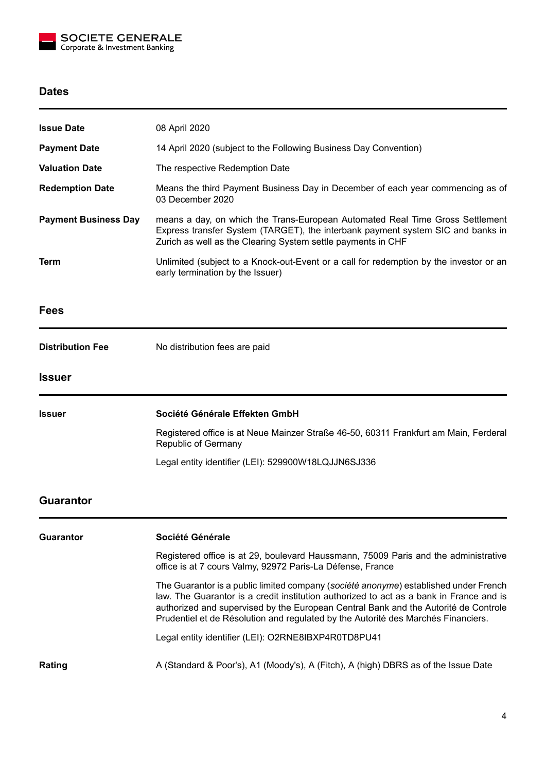

### **Dates**

| <b>Issue Date</b>           | 08 April 2020                                                                                                                                                                                                                                                                                                                                               |  |  |  |  |
|-----------------------------|-------------------------------------------------------------------------------------------------------------------------------------------------------------------------------------------------------------------------------------------------------------------------------------------------------------------------------------------------------------|--|--|--|--|
| <b>Payment Date</b>         | 14 April 2020 (subject to the Following Business Day Convention)                                                                                                                                                                                                                                                                                            |  |  |  |  |
| <b>Valuation Date</b>       | The respective Redemption Date                                                                                                                                                                                                                                                                                                                              |  |  |  |  |
| <b>Redemption Date</b>      | Means the third Payment Business Day in December of each year commencing as of<br>03 December 2020                                                                                                                                                                                                                                                          |  |  |  |  |
| <b>Payment Business Day</b> | means a day, on which the Trans-European Automated Real Time Gross Settlement<br>Express transfer System (TARGET), the interbank payment system SIC and banks in<br>Zurich as well as the Clearing System settle payments in CHF                                                                                                                            |  |  |  |  |
| Term                        | Unlimited (subject to a Knock-out-Event or a call for redemption by the investor or an<br>early termination by the Issuer)                                                                                                                                                                                                                                  |  |  |  |  |
| Fees                        |                                                                                                                                                                                                                                                                                                                                                             |  |  |  |  |
| <b>Distribution Fee</b>     | No distribution fees are paid                                                                                                                                                                                                                                                                                                                               |  |  |  |  |
| Issuer                      |                                                                                                                                                                                                                                                                                                                                                             |  |  |  |  |
| Issuer                      | Société Générale Effekten GmbH                                                                                                                                                                                                                                                                                                                              |  |  |  |  |
|                             | Registered office is at Neue Mainzer Straße 46-50, 60311 Frankfurt am Main, Ferderal<br>Republic of Germany                                                                                                                                                                                                                                                 |  |  |  |  |
|                             | Legal entity identifier (LEI): 529900W18LQJJN6SJ336                                                                                                                                                                                                                                                                                                         |  |  |  |  |
| <b>Guarantor</b>            |                                                                                                                                                                                                                                                                                                                                                             |  |  |  |  |
| Guarantor                   | Société Générale                                                                                                                                                                                                                                                                                                                                            |  |  |  |  |
|                             | Registered office is at 29, boulevard Haussmann, 75009 Paris and the administrative<br>office is at 7 cours Valmy, 92972 Paris-La Défense, France                                                                                                                                                                                                           |  |  |  |  |
|                             | The Guarantor is a public limited company (société anonyme) established under French<br>law. The Guarantor is a credit institution authorized to act as a bank in France and is<br>authorized and supervised by the European Central Bank and the Autorité de Controle<br>Prudentiel et de Résolution and regulated by the Autorité des Marchés Financiers. |  |  |  |  |
|                             | Legal entity identifier (LEI): O2RNE8IBXP4R0TD8PU41                                                                                                                                                                                                                                                                                                         |  |  |  |  |
| Rating                      | A (Standard & Poor's), A1 (Moody's), A (Fitch), A (high) DBRS as of the Issue Date                                                                                                                                                                                                                                                                          |  |  |  |  |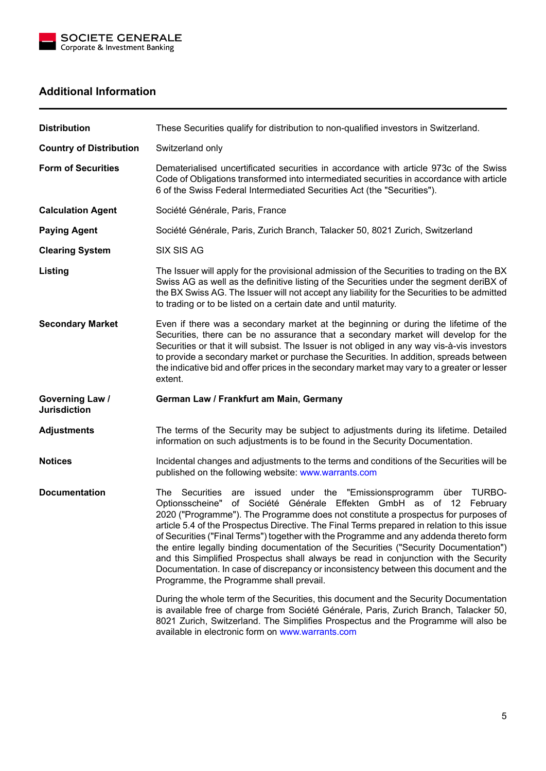

## **Additional Information**

| <b>Distribution</b>                           | These Securities qualify for distribution to non-qualified investors in Switzerland.                                                                                                                                                                                                                                                                                                                                                                                                                                                                                                                                                                                                                                                                  |  |  |  |  |  |
|-----------------------------------------------|-------------------------------------------------------------------------------------------------------------------------------------------------------------------------------------------------------------------------------------------------------------------------------------------------------------------------------------------------------------------------------------------------------------------------------------------------------------------------------------------------------------------------------------------------------------------------------------------------------------------------------------------------------------------------------------------------------------------------------------------------------|--|--|--|--|--|
| <b>Country of Distribution</b>                | Switzerland only                                                                                                                                                                                                                                                                                                                                                                                                                                                                                                                                                                                                                                                                                                                                      |  |  |  |  |  |
| <b>Form of Securities</b>                     | Dematerialised uncertificated securities in accordance with article 973c of the Swiss<br>Code of Obligations transformed into intermediated securities in accordance with article<br>6 of the Swiss Federal Intermediated Securities Act (the "Securities").                                                                                                                                                                                                                                                                                                                                                                                                                                                                                          |  |  |  |  |  |
| <b>Calculation Agent</b>                      | Société Générale, Paris, France                                                                                                                                                                                                                                                                                                                                                                                                                                                                                                                                                                                                                                                                                                                       |  |  |  |  |  |
| <b>Paying Agent</b>                           | Société Générale, Paris, Zurich Branch, Talacker 50, 8021 Zurich, Switzerland                                                                                                                                                                                                                                                                                                                                                                                                                                                                                                                                                                                                                                                                         |  |  |  |  |  |
| <b>Clearing System</b>                        | <b>SIX SIS AG</b>                                                                                                                                                                                                                                                                                                                                                                                                                                                                                                                                                                                                                                                                                                                                     |  |  |  |  |  |
| Listing                                       | The Issuer will apply for the provisional admission of the Securities to trading on the BX<br>Swiss AG as well as the definitive listing of the Securities under the segment deriBX of<br>the BX Swiss AG. The Issuer will not accept any liability for the Securities to be admitted<br>to trading or to be listed on a certain date and until maturity.                                                                                                                                                                                                                                                                                                                                                                                             |  |  |  |  |  |
| <b>Secondary Market</b>                       | Even if there was a secondary market at the beginning or during the lifetime of the<br>Securities, there can be no assurance that a secondary market will develop for the<br>Securities or that it will subsist. The Issuer is not obliged in any way vis-à-vis investors<br>to provide a secondary market or purchase the Securities. In addition, spreads between<br>the indicative bid and offer prices in the secondary market may vary to a greater or lesser<br>extent.                                                                                                                                                                                                                                                                         |  |  |  |  |  |
| <b>Governing Law /</b><br><b>Jurisdiction</b> | German Law / Frankfurt am Main, Germany                                                                                                                                                                                                                                                                                                                                                                                                                                                                                                                                                                                                                                                                                                               |  |  |  |  |  |
| <b>Adjustments</b>                            | The terms of the Security may be subject to adjustments during its lifetime. Detailed<br>information on such adjustments is to be found in the Security Documentation.                                                                                                                                                                                                                                                                                                                                                                                                                                                                                                                                                                                |  |  |  |  |  |
| <b>Notices</b>                                | Incidental changes and adjustments to the terms and conditions of the Securities will be<br>published on the following website: www.warrants.com                                                                                                                                                                                                                                                                                                                                                                                                                                                                                                                                                                                                      |  |  |  |  |  |
| <b>Documentation</b>                          | The Securities<br>are issued under the "Emissionsprogramm über TURBO-<br>Générale Effekten GmbH as of 12 February<br>Optionsscheine"<br>of Société<br>2020 ("Programme"). The Programme does not constitute a prospectus for purposes of<br>article 5.4 of the Prospectus Directive. The Final Terms prepared in relation to this issue<br>of Securities ("Final Terms") together with the Programme and any addenda thereto form<br>the entire legally binding documentation of the Securities ("Security Documentation")<br>and this Simplified Prospectus shall always be read in conjunction with the Security<br>Documentation. In case of discrepancy or inconsistency between this document and the<br>Programme, the Programme shall prevail. |  |  |  |  |  |
|                                               | During the whole term of the Securities, this document and the Security Documentation<br>is available free of charge from Société Générale, Paris, Zurich Branch, Talacker 50,<br>8021 Zurich, Switzerland. The Simplifies Prospectus and the Programme will also be<br>available in electronic form on www.warrants.com                                                                                                                                                                                                                                                                                                                                                                                                                              |  |  |  |  |  |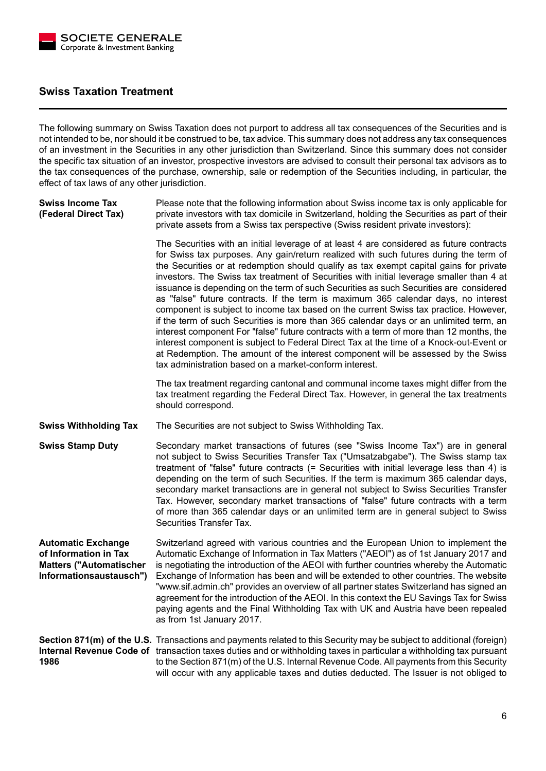

### **Swiss Taxation Treatment**

The following summary on Swiss Taxation does not purport to address all tax consequences of the Securities and is not intended to be, nor should it be construed to be, tax advice. This summary does not address any tax consequences of an investment in the Securities in any other jurisdiction than Switzerland. Since this summary does not consider the specific tax situation of an investor, prospective investors are advised to consult their personal tax advisors as to the tax consequences of the purchase, ownership, sale or redemption of the Securities including, in particular, the effect of tax laws of any other jurisdiction.

**Swiss Income Tax (Federal Direct Tax)** Please note that the following information about Swiss income tax is only applicable for private investors with tax domicile in Switzerland, holding the Securities as part of their private assets from a Swiss tax perspective (Swiss resident private investors):

> The Securities with an initial leverage of at least 4 are considered as future contracts for Swiss tax purposes. Any gain/return realized with such futures during the term of the Securities or at redemption should qualify as tax exempt capital gains for private investors. The Swiss tax treatment of Securities with initial leverage smaller than 4 at issuance is depending on the term of such Securities as such Securities are considered as "false" future contracts. If the term is maximum 365 calendar days, no interest component is subject to income tax based on the current Swiss tax practice. However, if the term of such Securities is more than 365 calendar days or an unlimited term, an interest component For "false" future contracts with a term of more than 12 months, the interest component is subject to Federal Direct Tax at the time of a Knock-out-Event or at Redemption. The amount of the interest component will be assessed by the Swiss tax administration based on a market-conform interest.

> The tax treatment regarding cantonal and communal income taxes might differ from the tax treatment regarding the Federal Direct Tax. However, in general the tax treatments should correspond.

**Swiss Withholding Tax** The Securities are not subject to Swiss Withholding Tax.

**Swiss Stamp Duty** Secondary market transactions of futures (see "Swiss Income Tax") are in general not subject to Swiss Securities Transfer Tax ("Umsatzabgabe"). The Swiss stamp tax treatment of "false" future contracts (= Securities with initial leverage less than 4) is depending on the term of such Securities. If the term is maximum 365 calendar days, secondary market transactions are in general not subject to Swiss Securities Transfer Tax. However, secondary market transactions of "false" future contracts with a term of more than 365 calendar days or an unlimited term are in general subject to Swiss Securities Transfer Tax.

**Automatic Exchange of Information in Tax Matters ("Automatischer Informationsaustausch")** Switzerland agreed with various countries and the European Union to implement the Automatic Exchange of Information in Tax Matters ("AEOI") as of 1st January 2017 and is negotiating the introduction of the AEOI with further countries whereby the Automatic Exchange of Information has been and will be extended to other countries. The website "www.sif.admin.ch" provides an overview of all partner states Switzerland has signed an agreement for the introduction of the AEOI. In this context the EU Savings Tax for Swiss paying agents and the Final Withholding Tax with UK and Austria have been repealed as from 1st January 2017.

**Section 871(m) of the U.S.** Transactions and payments related to this Security may be subject to additional (foreign) **Internal Revenue Code of** transaction taxes duties and or withholding taxes in particular a withholding tax pursuant **1986** to the Section 871(m) of the U.S. Internal Revenue Code. All payments from this Security will occur with any applicable taxes and duties deducted. The Issuer is not obliged to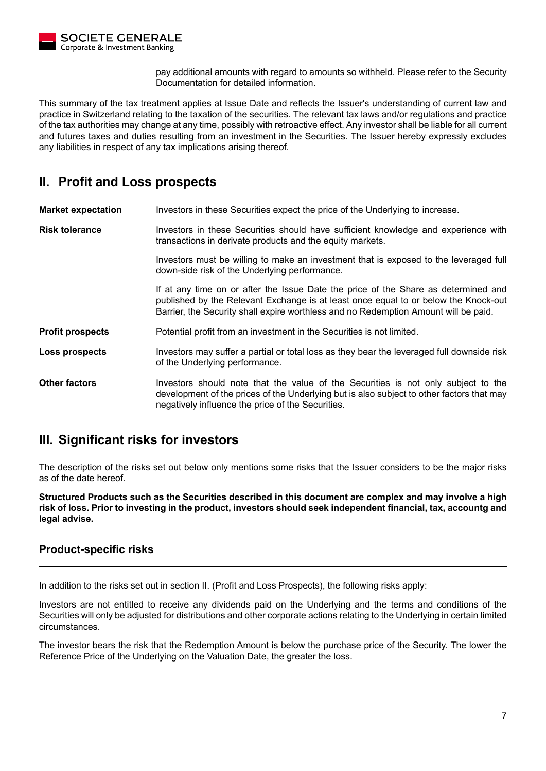

pay additional amounts with regard to amounts so withheld. Please refer to the Security Documentation for detailed information.

This summary of the tax treatment applies at Issue Date and reflects the Issuer's understanding of current law and practice in Switzerland relating to the taxation of the securities. The relevant tax laws and/or regulations and practice of the tax authorities may change at any time, possibly with retroactive effect. Any investor shall be liable for all current and futures taxes and duties resulting from an investment in the Securities. The Issuer hereby expressly excludes any liabilities in respect of any tax implications arising thereof.

## **II. Profit and Loss prospects**

**Market expectation** Investors in these Securities expect the price of the Underlying to increase.

**Risk tolerance Investors in these Securities should have sufficient knowledge and experience with** transactions in derivate products and the equity markets.

> Investors must be willing to make an investment that is exposed to the leveraged full down-side risk of the Underlying performance.

> If at any time on or after the Issue Date the price of the Share as determined and published by the Relevant Exchange is at least once equal to or below the Knock-out Barrier, the Security shall expire worthless and no Redemption Amount will be paid.

**Profit prospects** Potential profit from an investment in the Securities is not limited.

**Loss prospects** Investors may suffer a partial or total loss as they bear the leveraged full downside risk of the Underlying performance.

**Other factors** Investors should note that the value of the Securities is not only subject to the development of the prices of the Underlying but is also subject to other factors that may negatively influence the price of the Securities.

## **III. Significant risks for investors**

The description of the risks set out below only mentions some risks that the Issuer considers to be the major risks as of the date hereof.

**Structured Products such as the Securities described in this document are complex and may involve a high risk of loss. Prior to investing in the product, investors should seek independent financial, tax, accountg and legal advise.**

#### **Product-specific risks**

In addition to the risks set out in section II. (Profit and Loss Prospects), the following risks apply:

Investors are not entitled to receive any dividends paid on the Underlying and the terms and conditions of the Securities will only be adjusted for distributions and other corporate actions relating to the Underlying in certain limited circumstances.

The investor bears the risk that the Redemption Amount is below the purchase price of the Security. The lower the Reference Price of the Underlying on the Valuation Date, the greater the loss.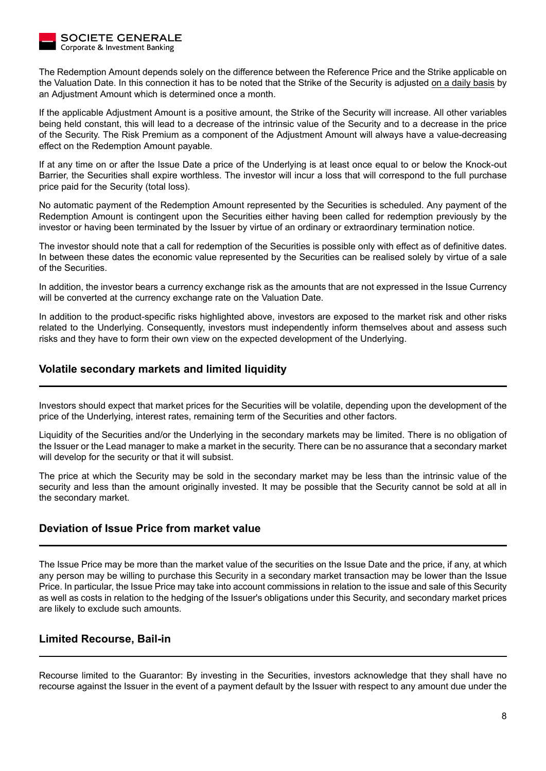

The Redemption Amount depends solely on the difference between the Reference Price and the Strike applicable on the Valuation Date. In this connection it has to be noted that the Strike of the Security is adjusted on a daily basis by an Adjustment Amount which is determined once a month.

If the applicable Adjustment Amount is a positive amount, the Strike of the Security will increase. All other variables being held constant, this will lead to a decrease of the intrinsic value of the Security and to a decrease in the price of the Security. The Risk Premium as a component of the Adjustment Amount will always have a value-decreasing effect on the Redemption Amount payable.

If at any time on or after the Issue Date a price of the Underlying is at least once equal to or below the Knock-out Barrier, the Securities shall expire worthless. The investor will incur a loss that will correspond to the full purchase price paid for the Security (total loss).

No automatic payment of the Redemption Amount represented by the Securities is scheduled. Any payment of the Redemption Amount is contingent upon the Securities either having been called for redemption previously by the investor or having been terminated by the Issuer by virtue of an ordinary or extraordinary termination notice.

The investor should note that a call for redemption of the Securities is possible only with effect as of definitive dates. In between these dates the economic value represented by the Securities can be realised solely by virtue of a sale of the Securities.

In addition, the investor bears a currency exchange risk as the amounts that are not expressed in the Issue Currency will be converted at the currency exchange rate on the Valuation Date.

In addition to the product-specific risks highlighted above, investors are exposed to the market risk and other risks related to the Underlying. Consequently, investors must independently inform themselves about and assess such risks and they have to form their own view on the expected development of the Underlying.

### **Volatile secondary markets and limited liquidity**

Investors should expect that market prices for the Securities will be volatile, depending upon the development of the price of the Underlying, interest rates, remaining term of the Securities and other factors.

Liquidity of the Securities and/or the Underlying in the secondary markets may be limited. There is no obligation of the Issuer or the Lead manager to make a market in the security. There can be no assurance that a secondary market will develop for the security or that it will subsist.

The price at which the Security may be sold in the secondary market may be less than the intrinsic value of the security and less than the amount originally invested. It may be possible that the Security cannot be sold at all in the secondary market.

### **Deviation of Issue Price from market value**

The Issue Price may be more than the market value of the securities on the Issue Date and the price, if any, at which any person may be willing to purchase this Security in a secondary market transaction may be lower than the Issue Price. In particular, the Issue Price may take into account commissions in relation to the issue and sale of this Security as well as costs in relation to the hedging of the Issuer's obligations under this Security, and secondary market prices are likely to exclude such amounts.

### **Limited Recourse, Bail-in**

Recourse limited to the Guarantor: By investing in the Securities, investors acknowledge that they shall have no recourse against the Issuer in the event of a payment default by the Issuer with respect to any amount due under the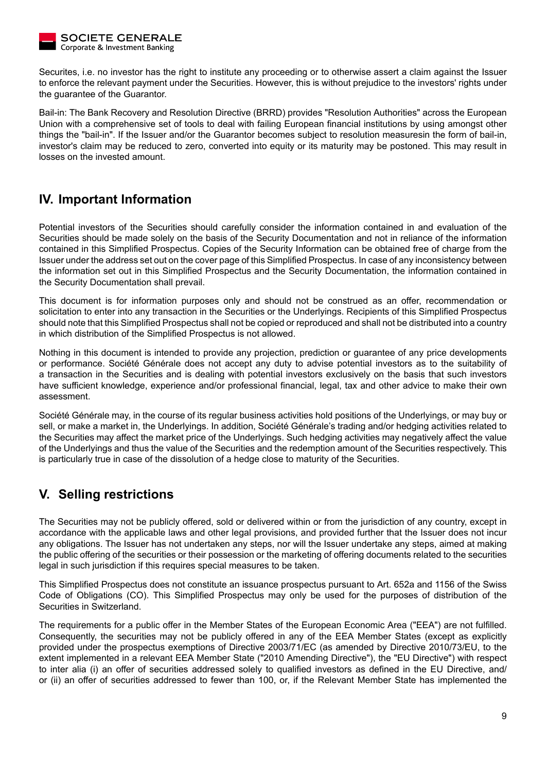

Securites, i.e. no investor has the right to institute any proceeding or to otherwise assert a claim against the Issuer to enforce the relevant payment under the Securities. However, this is without prejudice to the investors' rights under the guarantee of the Guarantor.

Bail-in: The Bank Recovery and Resolution Directive (BRRD) provides "Resolution Authorities" across the European Union with a comprehensive set of tools to deal with failing European financial institutions by using amongst other things the "bail-in". If the Issuer and/or the Guarantor becomes subject to resolution measuresin the form of bail-in, investor's claim may be reduced to zero, converted into equity or its maturity may be postoned. This may result in losses on the invested amount.

## **IV. Important Information**

Potential investors of the Securities should carefully consider the information contained in and evaluation of the Securities should be made solely on the basis of the Security Documentation and not in reliance of the information contained in this Simplified Prospectus. Copies of the Security Information can be obtained free of charge from the Issuer under the address set out on the cover page of this Simplified Prospectus. In case of any inconsistency between the information set out in this Simplified Prospectus and the Security Documentation, the information contained in the Security Documentation shall prevail.

This document is for information purposes only and should not be construed as an offer, recommendation or solicitation to enter into any transaction in the Securities or the Underlyings. Recipients of this Simplified Prospectus should note that this Simplified Prospectus shall not be copied or reproduced and shall not be distributed into a country in which distribution of the Simplified Prospectus is not allowed.

Nothing in this document is intended to provide any projection, prediction or guarantee of any price developments or performance. Société Générale does not accept any duty to advise potential investors as to the suitability of a transaction in the Securities and is dealing with potential investors exclusively on the basis that such investors have sufficient knowledge, experience and/or professional financial, legal, tax and other advice to make their own assessment.

Société Générale may, in the course of its regular business activities hold positions of the Underlyings, or may buy or sell, or make a market in, the Underlyings. In addition, Société Générale's trading and/or hedging activities related to the Securities may affect the market price of the Underlyings. Such hedging activities may negatively affect the value of the Underlyings and thus the value of the Securities and the redemption amount of the Securities respectively. This is particularly true in case of the dissolution of a hedge close to maturity of the Securities.

# **V. Selling restrictions**

The Securities may not be publicly offered, sold or delivered within or from the jurisdiction of any country, except in accordance with the applicable laws and other legal provisions, and provided further that the Issuer does not incur any obligations. The Issuer has not undertaken any steps, nor will the Issuer undertake any steps, aimed at making the public offering of the securities or their possession or the marketing of offering documents related to the securities legal in such jurisdiction if this requires special measures to be taken.

This Simplified Prospectus does not constitute an issuance prospectus pursuant to Art. 652a and 1156 of the Swiss Code of Obligations (CO). This Simplified Prospectus may only be used for the purposes of distribution of the Securities in Switzerland.

The requirements for a public offer in the Member States of the European Economic Area ("EEA") are not fulfilled. Consequently, the securities may not be publicly offered in any of the EEA Member States (except as explicitly provided under the prospectus exemptions of Directive 2003/71/EC (as amended by Directive 2010/73/EU, to the extent implemented in a relevant EEA Member State ("2010 Amending Directive"), the "EU Directive") with respect to inter alia (i) an offer of securities addressed solely to qualified investors as defined in the EU Directive, and/ or (ii) an offer of securities addressed to fewer than 100, or, if the Relevant Member State has implemented the